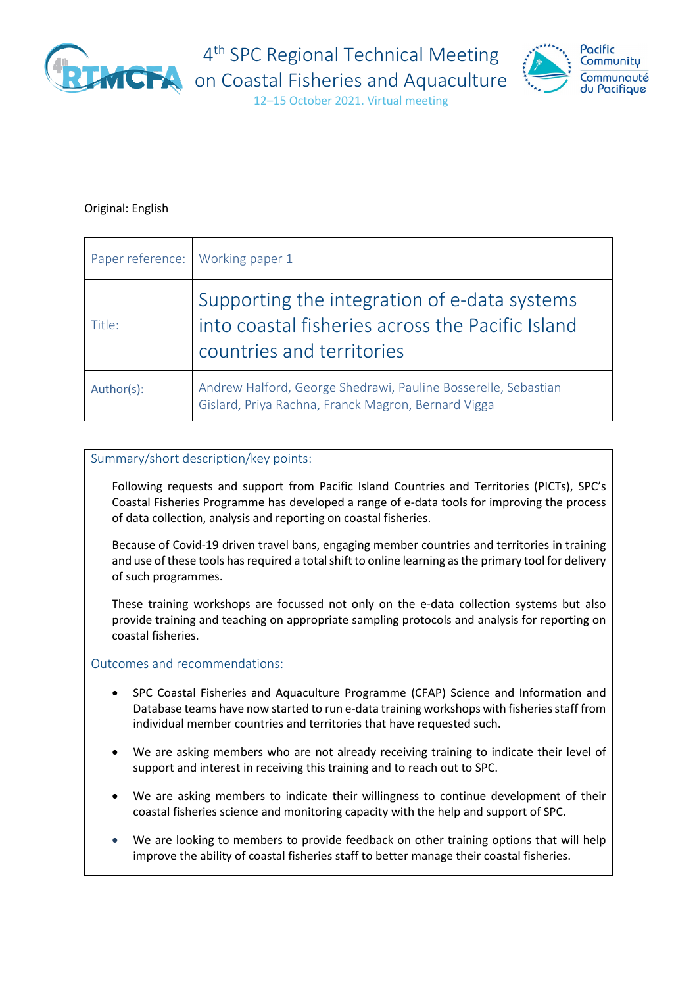

4<sup>th</sup> SPC Regional Technical Meeting



12–15 October 2021. Virtual meeting

### Original: English

|            | Paper reference: Working paper 1                                                                                              |
|------------|-------------------------------------------------------------------------------------------------------------------------------|
| Title:     | Supporting the integration of e-data systems<br>into coastal fisheries across the Pacific Island<br>countries and territories |
| Author(s): | Andrew Halford, George Shedrawi, Pauline Bosserelle, Sebastian<br>Gislard, Priya Rachna, Franck Magron, Bernard Vigga         |

### Summary/short description/key points:

Following requests and support from Pacific Island Countries and Territories (PICTs), SPC's Coastal Fisheries Programme has developed a range of e-data tools for improving the process of data collection, analysis and reporting on coastal fisheries.

Because of Covid-19 driven travel bans, engaging member countries and territories in training and use of these tools has required a total shift to online learning as the primary tool for delivery of such programmes.

These training workshops are focussed not only on the e-data collection systems but also provide training and teaching on appropriate sampling protocols and analysis for reporting on coastal fisheries.

Outcomes and recommendations:

- SPC Coastal Fisheries and Aquaculture Programme (CFAP) Science and Information and Database teams have now started to run e-data training workshops with fisheries staff from individual member countries and territories that have requested such.
- We are asking members who are not already receiving training to indicate their level of support and interest in receiving this training and to reach out to SPC.
- We are asking members to indicate their willingness to continue development of their coastal fisheries science and monitoring capacity with the help and support of SPC.
- We are looking to members to provide feedback on other training options that will help improve the ability of coastal fisheries staff to better manage their coastal fisheries.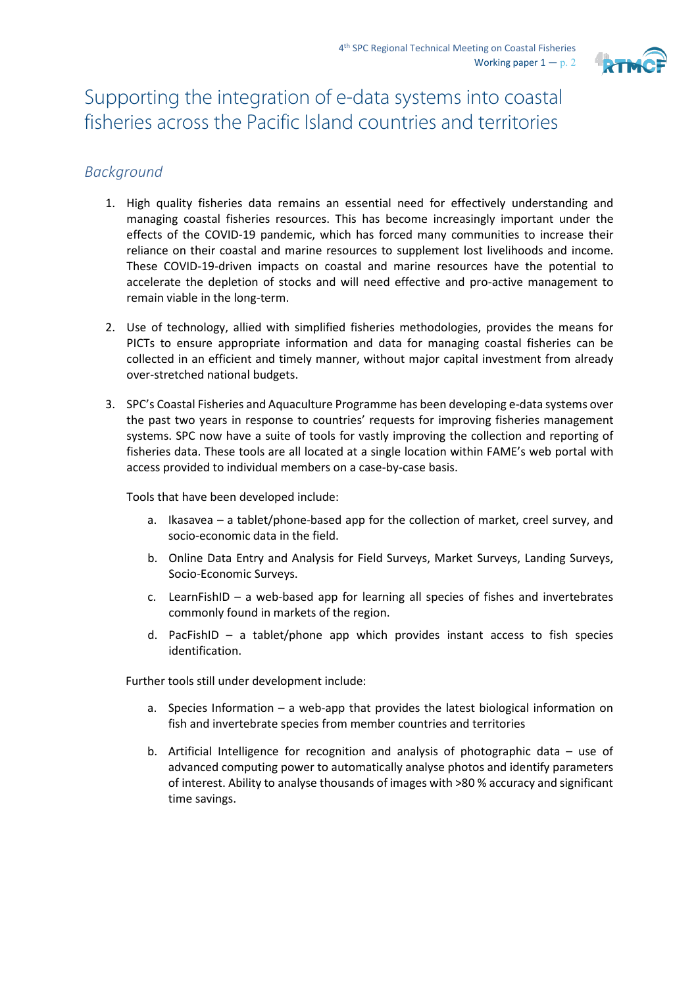

# Supporting the integration of e-data systems into coastal fisheries across the Pacific Island countries and territories

# *Background*

- 1. High quality fisheries data remains an essential need for effectively understanding and managing coastal fisheries resources. This has become increasingly important under the effects of the COVID-19 pandemic, which has forced many communities to increase their reliance on their coastal and marine resources to supplement lost livelihoods and income. These COVID-19-driven impacts on coastal and marine resources have the potential to accelerate the depletion of stocks and will need effective and pro-active management to remain viable in the long-term.
- 2. Use of technology, allied with simplified fisheries methodologies, provides the means for PICTs to ensure appropriate information and data for managing coastal fisheries can be collected in an efficient and timely manner, without major capital investment from already over-stretched national budgets.
- 3. SPC's Coastal Fisheries and Aquaculture Programme has been developing e-data systems over the past two years in response to countries' requests for improving fisheries management systems. SPC now have a suite of tools for vastly improving the collection and reporting of fisheries data. These tools are all located at a single location within FAME's web portal with access provided to individual members on a case-by-case basis.

Tools that have been developed include:

- a. Ikasavea a tablet/phone-based app for the collection of market, creel survey, and socio-economic data in the field.
- b. Online Data Entry and Analysis for Field Surveys, Market Surveys, Landing Surveys, Socio-Economic Surveys.
- c. LearnFishID a web-based app for learning all species of fishes and invertebrates commonly found in markets of the region.
- d. PacFishID a tablet/phone app which provides instant access to fish species identification.

Further tools still under development include:

- a. Species Information a web-app that provides the latest biological information on fish and invertebrate species from member countries and territories
- b. Artificial Intelligence for recognition and analysis of photographic data use of advanced computing power to automatically analyse photos and identify parameters of interest. Ability to analyse thousands of images with >80 % accuracy and significant time savings.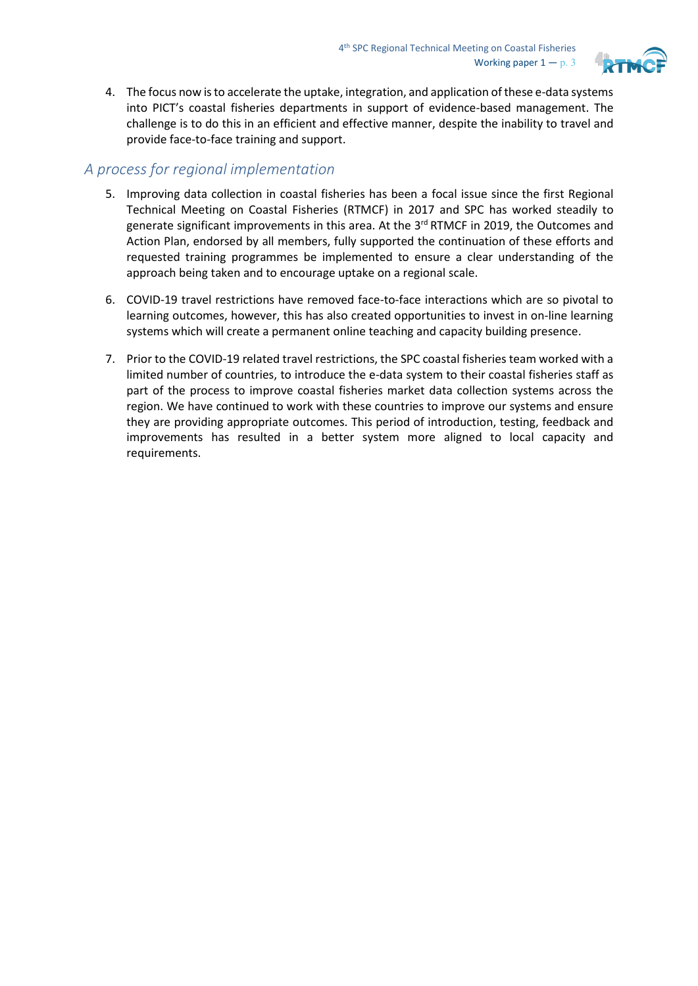

4. The focus now isto accelerate the uptake, integration, and application of these e-data systems into PICT's coastal fisheries departments in support of evidence-based management. The challenge is to do this in an efficient and effective manner, despite the inability to travel and provide face-to-face training and support.

## *A process for regional implementation*

- 5. Improving data collection in coastal fisheries has been a focal issue since the first Regional Technical Meeting on Coastal Fisheries (RTMCF) in 2017 and SPC has worked steadily to generate significant improvements in this area. At the 3<sup>rd</sup> RTMCF in 2019, the Outcomes and Action Plan, endorsed by all members, fully supported the continuation of these efforts and requested training programmes be implemented to ensure a clear understanding of the approach being taken and to encourage uptake on a regional scale.
- 6. COVID-19 travel restrictions have removed face-to-face interactions which are so pivotal to learning outcomes, however, this has also created opportunities to invest in on-line learning systems which will create a permanent online teaching and capacity building presence.
- 7. Prior to the COVID-19 related travel restrictions, the SPC coastal fisheries team worked with a limited number of countries, to introduce the e-data system to their coastal fisheries staff as part of the process to improve coastal fisheries market data collection systems across the region. We have continued to work with these countries to improve our systems and ensure they are providing appropriate outcomes. This period of introduction, testing, feedback and improvements has resulted in a better system more aligned to local capacity and requirements.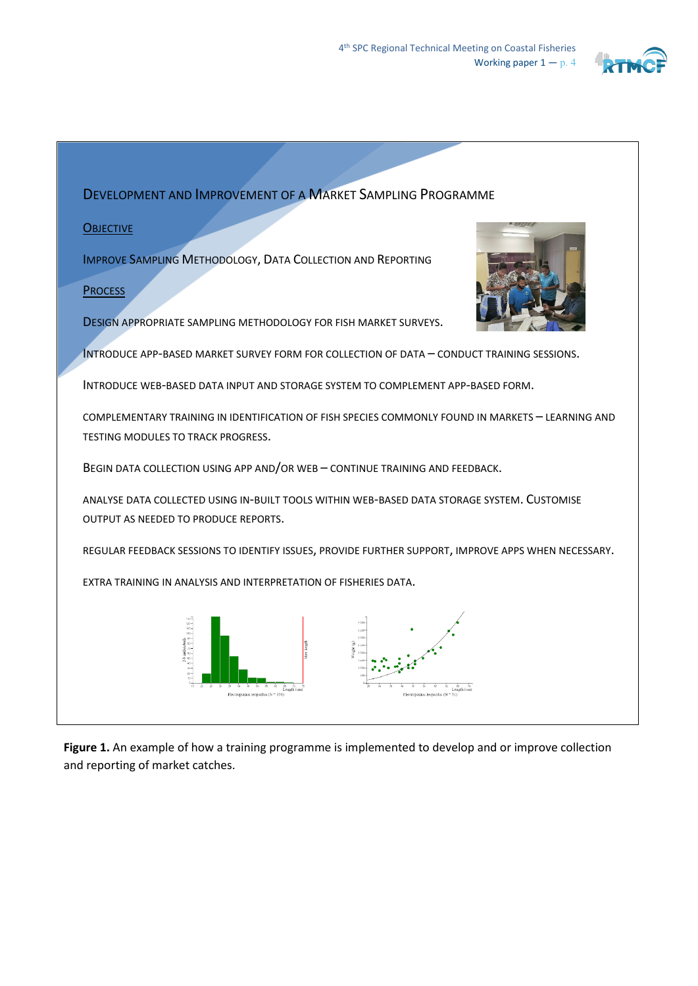

DEVELOPMENT AND IMPROVEMENT OF A MARKET SAMPLING PROGRAMME

#### **OBJECTIVE**

IMPROVE SAMPLING METHODOLOGY, DATA COLLECTION AND REPORTING

### **PROCESS**

DESIGN APPROPRIATE SAMPLING METHODOLOGY FOR FISH MARKET SURVEYS.

INTRODUCE APP-BASED MARKET SURVEY FORM FOR COLLECTION OF DATA – CONDUCT TRAINING SESSIONS.

INTRODUCE WEB-BASED DATA INPUT AND STORAGE SYSTEM TO COMPLEMENT APP-BASED FORM.

COMPLEMENTARY TRAINING IN IDENTIFICATION OF FISH SPECIES COMMONLY FOUND IN MARKETS – LEARNING AND TESTING MODULES TO TRACK PROGRESS.

BEGIN DATA COLLECTION USING APP AND/OR WEB – CONTINUE TRAINING AND FEEDBACK.

ANALYSE DATA COLLECTED USING IN-BUILT TOOLS WITHIN WEB-BASED DATA STORAGE SYSTEM. CUSTOMISE OUTPUT AS NEEDED TO PRODUCE REPORTS.

REGULAR FEEDBACK SESSIONS TO IDENTIFY ISSUES, PROVIDE FURTHER SUPPORT, IMPROVE APPS WHEN NECESSARY.

EXTRA TRAINING IN ANALYSIS AND INTERPRETATION OF FISHERIES DATA.



**Figure 1.** An example of how a training programme is implemented to develop and or improve collection and reporting of market catches.